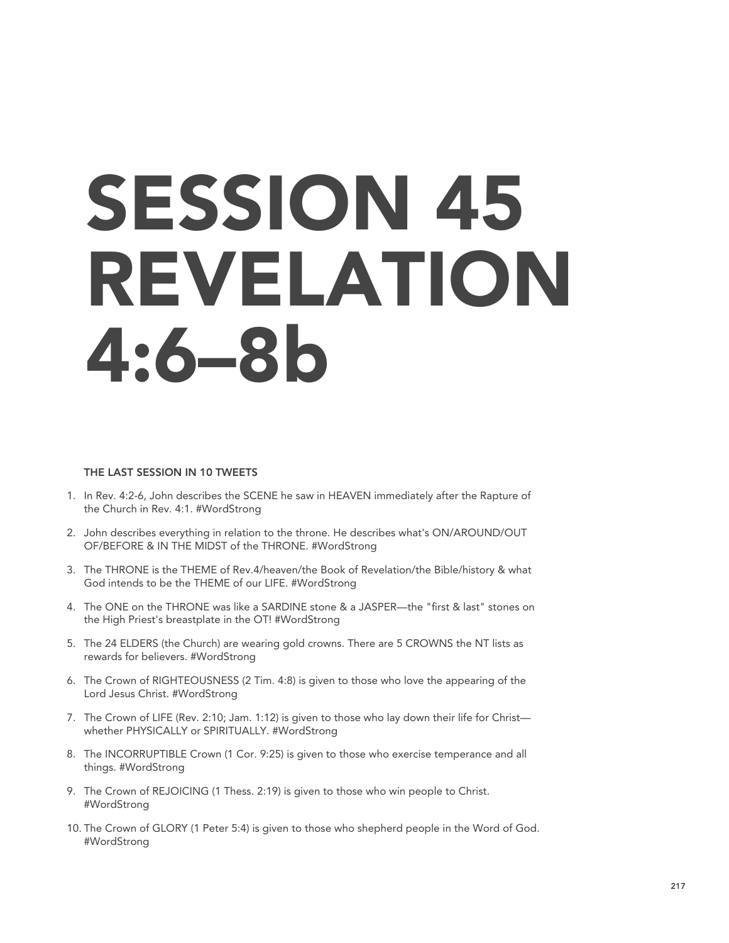# SESSION 45 REVELATION 4:6–8b

### THE LAST SESSION IN 10 TWEETS

- 1. In Rev. 4:2-6, John describes the SCENE he saw in HEAVEN immediately after the Rapture of the Church in Rev. 4:1. #WordStrong
- 2. John describes everything in relation to the throne. He describes what's ON/AROUND/OUT OF/BEFORE & IN THE MIDST of the THRONE. #WordStrong
- 3. The THRONE is the THEME of Rev.4/heaven/the Book of Revelation/the Bible/history & what God intends to be the THEME of our LIFE. #WordStrong
- 4. The ONE on the THRONE was like a SARDINE stone & a JASPER—the "first & last" stones on the High Priest's breastplate in the OT! #WordStrong
- 5. The 24 ELDERS (the Church) are wearing gold crowns. There are 5 CROWNS the NT lists as rewards for believers. #WordStrong
- 6. The Crown of RIGHTEOUSNESS (2 Tim. 4:8) is given to those who love the appearing of the Lord Jesus Christ. #WordStrong
- 7. The Crown of LIFE (Rev. 2:10; Jam. 1:12) is given to those who lay down their life for Christ whether PHYSICALLY or SPIRITUALLY. #WordStrong
- 8. The INCORRUPTIBLE Crown (1 Cor. 9:25) is given to those who exercise temperance and all things. #WordStrong
- 9. The Crown of REJOICING (1 Thess. 2:19) is given to those who win people to Christ. #WordStrong
- 10. The Crown of GLORY (1 Peter 5:4) is given to those who shepherd people in the Word of God. #WordStrong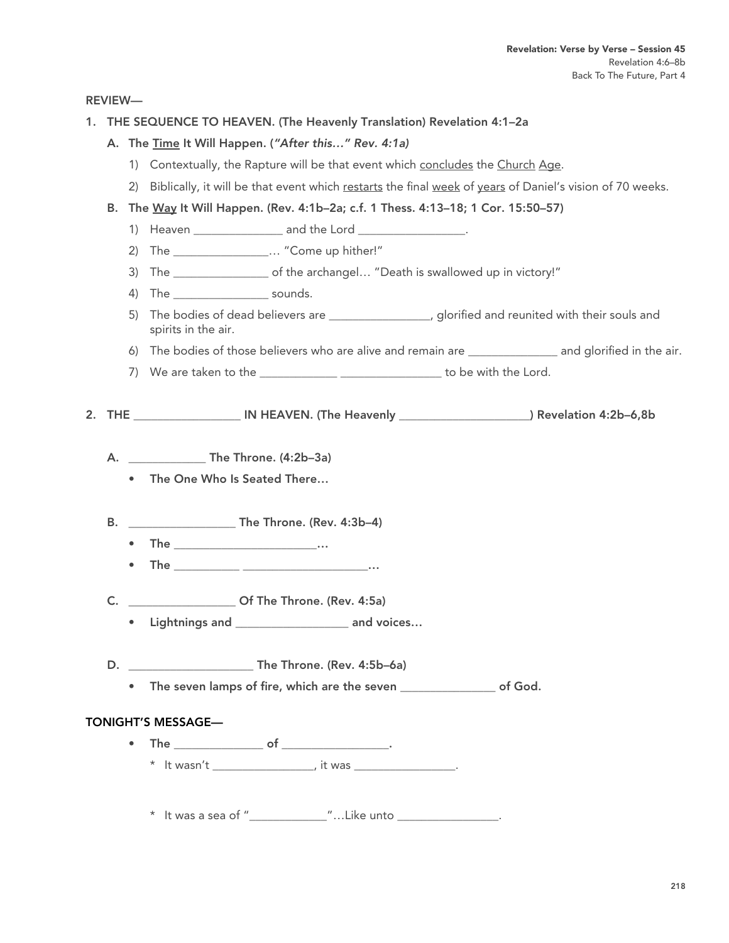REVIEW—

- 1. THE SEQUENCE TO HEAVEN. (The Heavenly Translation) Revelation 4:1–2a
	- A. The Time It Will Happen. (*"After this…" Rev. 4:1a)*
		- 1) Contextually, the Rapture will be that event which concludes the Church Age.
		- 2) Biblically, it will be that event which restarts the final week of years of Daniel's vision of 70 weeks.
	- B. The Way It Will Happen. (Rev. 4:1b–2a; c.f. 1 Thess. 4:13–18; 1 Cor. 15:50–57)
		- 1) Heaven \_\_\_\_\_\_\_\_\_\_\_\_\_\_\_\_\_\_\_\_ and the Lord \_\_\_\_\_\_\_\_\_\_\_\_\_\_\_\_\_\_\_\_\_\_.
		- 2) The  $\ldots$  "Come up hither!"
		- 3) The \_\_\_\_\_\_\_\_\_\_\_\_\_\_\_\_ of the archangel… "Death is swallowed up in victory!"
		- 4) The \_\_\_\_\_\_\_\_\_\_\_\_\_\_\_\_ sounds.
		- 5) The bodies of dead believers are \_\_\_\_\_\_\_\_\_\_\_\_\_\_\_\_, glorified and reunited with their souls and spirits in the air.
		- 6) The bodies of those believers who are alive and remain are \_\_\_\_\_\_\_\_\_\_\_\_\_\_\_ and glorified in the air.
		- 7) We are taken to the \_\_\_\_\_\_\_\_\_\_\_\_\_\_\_\_\_\_\_\_\_\_\_\_\_\_\_\_\_\_\_\_\_\_ to be with the Lord.

2. THE Same IN HEAVEN. (The Heavenly matches are the Sevelation 4:2b–6,8b)

- A. \_\_\_\_\_\_\_\_\_\_\_\_\_ The Throne. (4:2b–3a)
	- The One Who Is Seated There…
- B. \_\_\_\_\_\_\_\_\_\_\_\_\_\_\_\_\_\_ The Throne. (Rev. 4:3b–4)
	- The  $\cdots$
	- The \_\_\_\_\_\_\_\_\_\_\_ \_\_\_\_\_\_\_\_\_\_\_\_\_\_\_\_\_\_\_\_\_…
- C. \_\_\_\_\_\_\_\_\_\_\_\_\_\_\_\_\_\_ Of The Throne. (Rev. 4:5a)
	- Lightnings and \_\_\_\_\_\_\_\_\_\_\_\_\_\_\_\_\_\_\_ and voices…
- D. **The Throne.** (Rev. 4:5b–6a)
	- The seven lamps of fire, which are the seven **endom** of God.

## TONIGHT'S MESSAGE—

• The  $\qquad \qquad \bullet$  of  $\qquad \qquad \bullet$  $*$  It wasn't \_\_\_\_\_\_\_\_\_\_\_\_\_\_, it was \_\_\_\_\_\_\_\_\_\_\_\_.

\* It was a sea of "\_\_\_\_\_\_\_\_\_\_\_\_\_\_"...Like unto \_\_\_\_\_\_\_\_\_\_\_\_\_\_\_\_\_.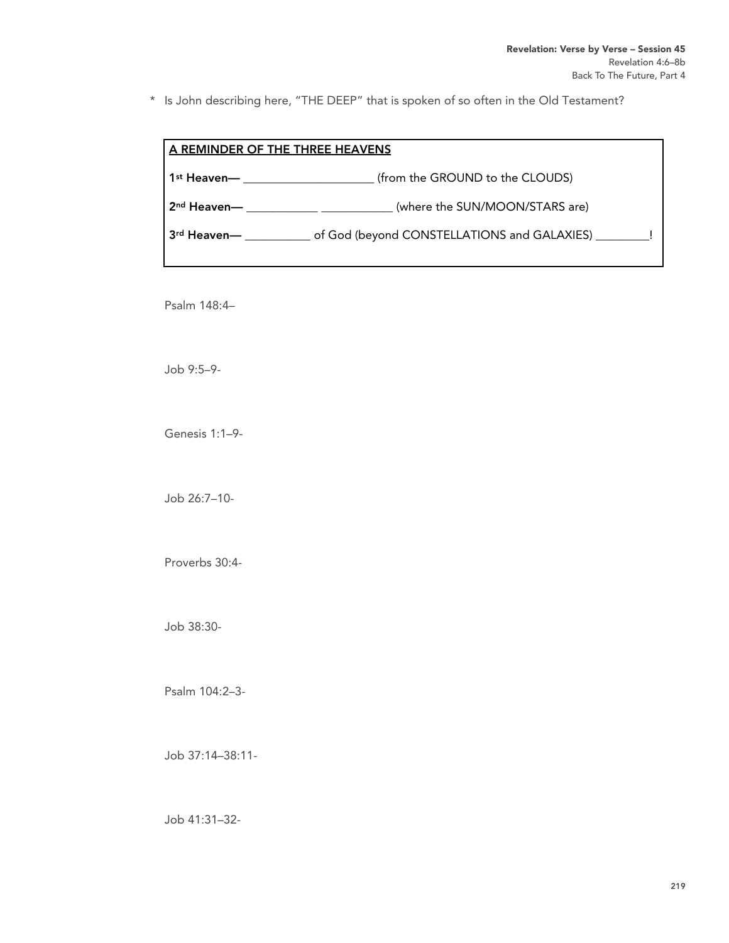\* Is John describing here, "THE DEEP" that is spoken of so often in the Old Testament?

| A REMINDER OF THE THREE HEAVENS |                                                   |
|---------------------------------|---------------------------------------------------|
| 1 <sup>st</sup> Heaven—         | (from the GROUND to the CLOUDS)                   |
| 2 <sup>nd</sup> Heaven—         | (where the SUN/MOON/STARS are)                    |
| 3rd Heaven—                     | of God (beyond CONSTELLATIONS and GALAXIES) _____ |

Psalm 148:4–

Job 9:5–9-

Genesis 1:1–9-

Job 26:7–10-

Proverbs 30:4-

Job 38:30-

Psalm 104:2–3-

Job 37:14–38:11-

Job 41:31–32-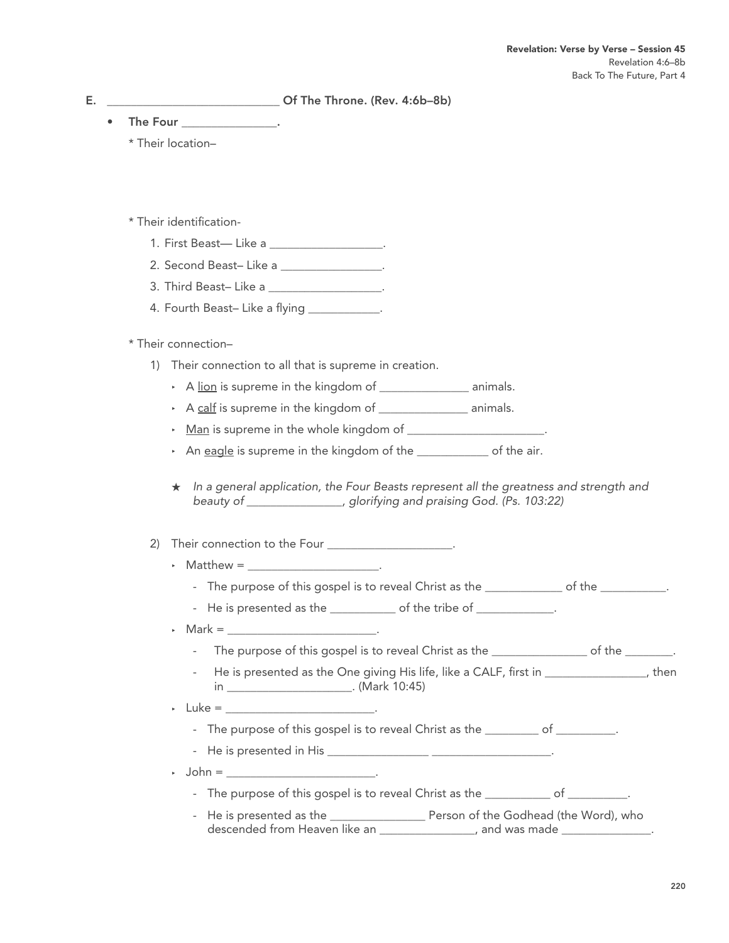E. \_\_\_\_\_\_\_\_\_\_\_\_\_\_\_\_\_\_\_\_\_\_\_\_\_\_\_\_\_ Of The Throne. (Rev. 4:6b–8b)

- The Four
	- \* Their location–

# \* Their identification-

- 1. First Beast— Like a \_\_\_\_\_\_\_\_\_\_\_\_\_\_\_\_\_\_.
- 2. Second Beast– Like a <u>\_\_\_\_\_\_\_\_\_\_\_\_\_\_\_</u>.
- 3. Third Beast– Like a \_\_\_\_\_\_\_\_\_\_\_\_\_\_\_\_\_\_\_.
- 4. Fourth Beast-Like a flying \_\_\_\_\_\_\_\_\_\_\_\_.

# \* Their connection–

- 1) Their connection to all that is supreme in creation.
	- A lion is supreme in the kingdom of animals.
	- ‣ A calf is supreme in the kingdom of \_\_\_\_\_\_\_\_\_\_\_\_\_\_\_ animals.
	- $\cdot$  Man is supreme in the whole kingdom of  $\cdot$
	- An eagle is supreme in the kingdom of the **solution** of the air.
	- ★ *In a general application, the Four Beasts represent all the greatness and strength and beauty of \_\_\_\_\_\_\_\_\_\_\_\_\_\_\_\_, glorifying and praising God. (Ps. 103:22)*

# 2) Their connection to the Four \_\_\_\_\_\_\_\_\_\_\_\_\_\_\_\_\_\_\_\_\_.

- $\triangleright$  Matthew =
	- The purpose of this gospel is to reveal Christ as the \_\_\_\_\_\_\_\_\_\_\_\_\_ of the \_\_\_\_\_\_\_\_\_\_\_.
	- He is presented as the \_\_\_\_\_\_\_\_\_\_\_ of the tribe of \_\_\_\_\_\_\_\_\_\_\_\_\_.
- $\cdot$  Mark =  $\cdot$  .
	- The purpose of this gospel is to reveal Christ as the  $\qquad \qquad$  of the  $\qquad \qquad$ .
	- He is presented as the One giving His life, like a CALF, first in  $\qquad \qquad$ , then in \_\_\_\_\_\_\_\_\_\_\_\_\_\_\_\_\_\_\_\_\_. (Mark 10:45)

## $\cdot$  Luke =

- The purpose of this gospel is to reveal Christ as the \_\_\_\_\_\_\_\_\_ of \_\_\_\_\_\_\_\_\_.
- He is presented in His \_\_\_\_\_\_\_\_\_\_\_\_\_\_\_\_\_ \_\_\_\_\_\_\_\_\_\_\_\_\_\_\_\_\_\_\_\_.
- $\rightarrow$  John =
	- The purpose of this gospel is to reveal Christ as the  $\qquad \qquad$  of  $\qquad \qquad$ .
	- He is presented as the \_\_\_\_\_\_\_\_\_\_\_\_\_\_\_\_\_\_\_\_\_\_\_ Person of the Godhead (the Word), who descended from Heaven like an \_\_\_\_\_\_\_\_\_\_\_\_\_\_, and was made \_\_\_\_\_\_\_\_\_\_\_\_\_\_.